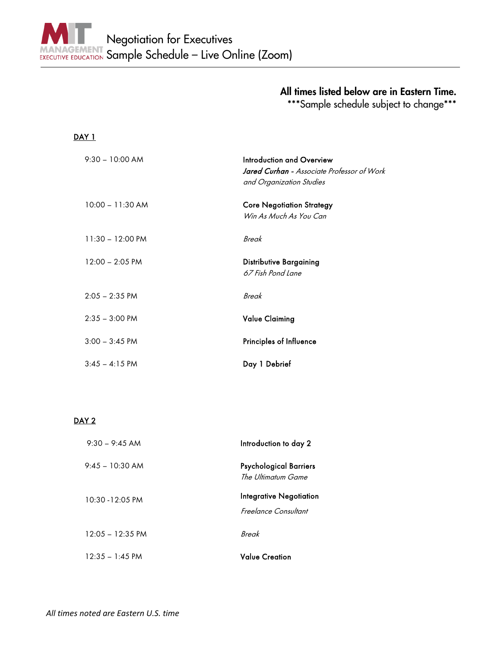## All times listed below are in Eastern Time.

\*\*\*Sample schedule subject to change\*\*\*

## DAY 1

| $9:30 - 10:00$ AM          | Introduction and Overview<br><b>Jared Curhan -</b> Associate Professor of Work<br>and Organization Studies |
|----------------------------|------------------------------------------------------------------------------------------------------------|
| $10:00 - 11:30$ AM         | <b>Core Negotiation Strategy</b><br>Win As Much As You Can                                                 |
| $11:30 - 12:00 \text{ PM}$ | Break                                                                                                      |
| $12:00 - 2:05 \text{ PM}$  | <b>Distributive Bargaining</b><br>67 Fish Pond Lane                                                        |
| $2:05 - 2:35$ PM           | Break                                                                                                      |
| $2:35 - 3:00$ PM           | <b>Value Claiming</b>                                                                                      |
| $3:00 - 3:45$ PM           | Principles of Influence                                                                                    |
| $3:45 - 4:15$ PM           | Day 1 Debrief                                                                                              |

## DAY<sub>2</sub>

| $9.30 - 9.45$ AM           | Introduction to day 2                                  |
|----------------------------|--------------------------------------------------------|
| 9:45 – 10:30 AM            | <b>Psychological Barriers</b><br>The Ultimatum Game    |
| $10:30 - 12:05 \text{ PM}$ | <b>Integrative Negotiation</b><br>Freelance Consultant |
| $12:05 - 12:35 \text{ PM}$ | Break                                                  |
| $12:35 - 1:45$ PM          | <b>Value Creation</b>                                  |